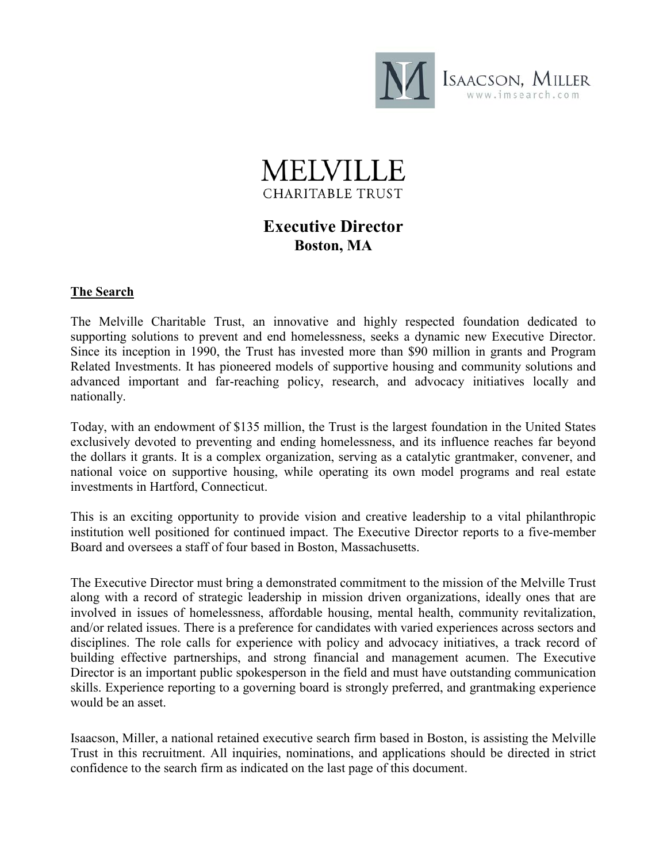

# **MEIVILL** CHARITABLE TRUST

# **Executive Director Boston, MA**

# **The Search**

The Melville Charitable Trust, an innovative and highly respected foundation dedicated to supporting solutions to prevent and end homelessness, seeks a dynamic new Executive Director. Since its inception in 1990, the Trust has invested more than \$90 million in grants and Program Related Investments. It has pioneered models of supportive housing and community solutions and advanced important and far-reaching policy, research, and advocacy initiatives locally and nationally.

Today, with an endowment of \$135 million, the Trust is the largest foundation in the United States exclusively devoted to preventing and ending homelessness, and its influence reaches far beyond the dollars it grants. It is a complex organization, serving as a catalytic grantmaker, convener, and national voice on supportive housing, while operating its own model programs and real estate investments in Hartford, Connecticut.

This is an exciting opportunity to provide vision and creative leadership to a vital philanthropic institution well positioned for continued impact. The Executive Director reports to a five-member Board and oversees a staff of four based in Boston, Massachusetts.

The Executive Director must bring a demonstrated commitment to the mission of the Melville Trust along with a record of strategic leadership in mission driven organizations, ideally ones that are involved in issues of homelessness, affordable housing, mental health, community revitalization, and/or related issues. There is a preference for candidates with varied experiences across sectors and disciplines. The role calls for experience with policy and advocacy initiatives, a track record of building effective partnerships, and strong financial and management acumen. The Executive Director is an important public spokesperson in the field and must have outstanding communication skills. Experience reporting to a governing board is strongly preferred, and grantmaking experience would be an asset.

Isaacson, Miller, a national retained executive search firm based in Boston, is assisting the Melville Trust in this recruitment. All inquiries, nominations, and applications should be directed in strict confidence to the search firm as indicated on the last page of this document.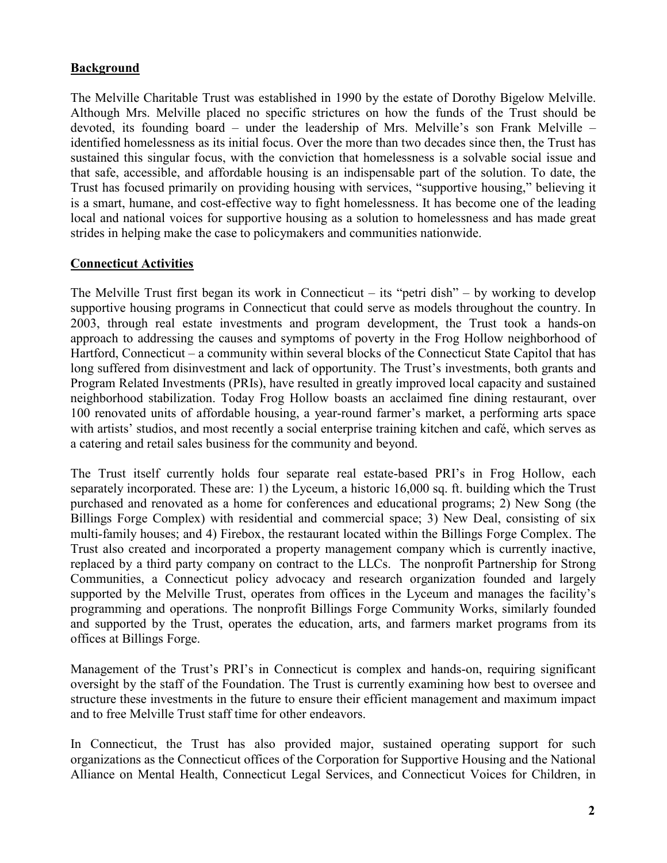# **Background**

The Melville Charitable Trust was established in 1990 by the estate of Dorothy Bigelow Melville. Although Mrs. Melville placed no specific strictures on how the funds of the Trust should be devoted, its founding board – under the leadership of Mrs. Melville's son Frank Melville – identified homelessness as its initial focus. Over the more than two decades since then, the Trust has sustained this singular focus, with the conviction that homelessness is a solvable social issue and that safe, accessible, and affordable housing is an indispensable part of the solution. To date, the Trust has focused primarily on providing housing with services, "supportive housing," believing it is a smart, humane, and cost-effective way to fight homelessness. It has become one of the leading local and national voices for supportive housing as a solution to homelessness and has made great strides in helping make the case to policymakers and communities nationwide.

# **Connecticut Activities**

The Melville Trust first began its work in Connecticut – its "petri dish" – by working to develop supportive housing programs in Connecticut that could serve as models throughout the country. In 2003, through real estate investments and program development, the Trust took a hands-on approach to addressing the causes and symptoms of poverty in the Frog Hollow neighborhood of Hartford, Connecticut – a community within several blocks of the Connecticut State Capitol that has long suffered from disinvestment and lack of opportunity. The Trust's investments, both grants and Program Related Investments (PRIs), have resulted in greatly improved local capacity and sustained neighborhood stabilization. Today Frog Hollow boasts an acclaimed fine dining restaurant, over 100 renovated units of affordable housing, a year-round farmer's market, a performing arts space with artists' studios, and most recently a social enterprise training kitchen and café, which serves as a catering and retail sales business for the community and beyond.

The Trust itself currently holds four separate real estate-based PRI's in Frog Hollow, each separately incorporated. These are: 1) the Lyceum, a historic 16,000 sq. ft. building which the Trust purchased and renovated as a home for conferences and educational programs; 2) New Song (the Billings Forge Complex) with residential and commercial space; 3) New Deal, consisting of six multi-family houses; and 4) Firebox, the restaurant located within the Billings Forge Complex. The Trust also created and incorporated a property management company which is currently inactive, replaced by a third party company on contract to the LLCs. The nonprofit Partnership for Strong Communities, a Connecticut policy advocacy and research organization founded and largely supported by the Melville Trust, operates from offices in the Lyceum and manages the facility's programming and operations. The nonprofit Billings Forge Community Works, similarly founded and supported by the Trust, operates the education, arts, and farmers market programs from its offices at Billings Forge.

Management of the Trust's PRI's in Connecticut is complex and hands-on, requiring significant oversight by the staff of the Foundation. The Trust is currently examining how best to oversee and structure these investments in the future to ensure their efficient management and maximum impact and to free Melville Trust staff time for other endeavors.

In Connecticut, the Trust has also provided major, sustained operating support for such organizations as the Connecticut offices of the Corporation for Supportive Housing and the National Alliance on Mental Health, Connecticut Legal Services, and Connecticut Voices for Children, in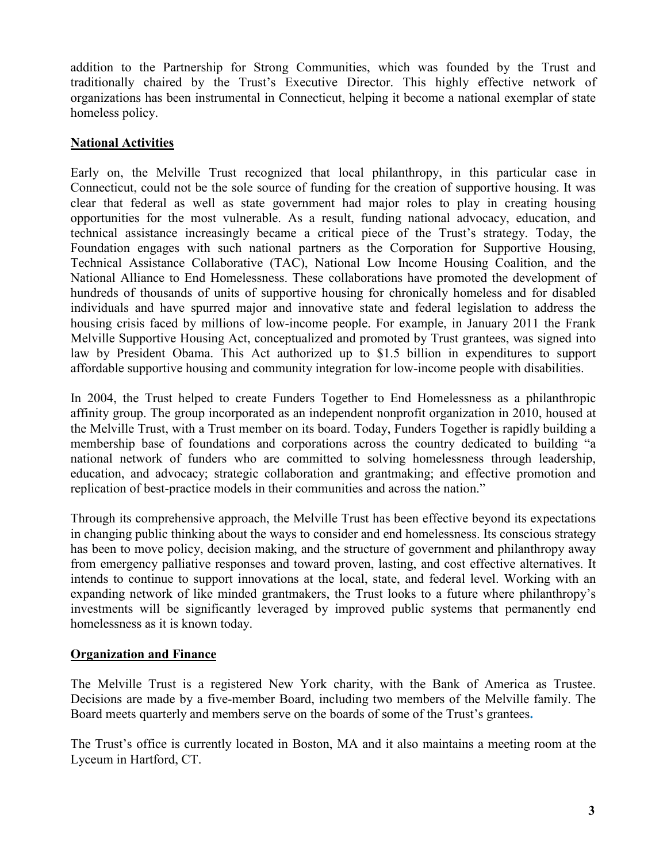addition to the Partnership for Strong Communities, which was founded by the Trust and traditionally chaired by the Trust's Executive Director. This highly effective network of organizations has been instrumental in Connecticut, helping it become a national exemplar of state homeless policy.

#### **National Activities**

Early on, the Melville Trust recognized that local philanthropy, in this particular case in Connecticut, could not be the sole source of funding for the creation of supportive housing. It was clear that federal as well as state government had major roles to play in creating housing opportunities for the most vulnerable. As a result, funding national advocacy, education, and technical assistance increasingly became a critical piece of the Trust's strategy. Today, the Foundation engages with such national partners as the Corporation for Supportive Housing, Technical Assistance Collaborative (TAC), National Low Income Housing Coalition, and the National Alliance to End Homelessness. These collaborations have promoted the development of hundreds of thousands of units of supportive housing for chronically homeless and for disabled individuals and have spurred major and innovative state and federal legislation to address the housing crisis faced by millions of low-income people. For example, in January 2011 the Frank Melville Supportive Housing Act, conceptualized and promoted by Trust grantees, was signed into law by President Obama. This Act authorized up to \$1.5 billion in expenditures to support affordable supportive housing and community integration for low-income people with disabilities.

In 2004, the Trust helped to create Funders Together to End Homelessness as a philanthropic affinity group. The group incorporated as an independent nonprofit organization in 2010, housed at the Melville Trust, with a Trust member on its board. Today, Funders Together is rapidly building a membership base of foundations and corporations across the country dedicated to building "a national network of funders who are committed to solving homelessness through leadership, education, and advocacy; strategic collaboration and grantmaking; and effective promotion and replication of best-practice models in their communities and across the nation."

Through its comprehensive approach, the Melville Trust has been effective beyond its expectations in changing public thinking about the ways to consider and end homelessness. Its conscious strategy has been to move policy, decision making, and the structure of government and philanthropy away from emergency palliative responses and toward proven, lasting, and cost effective alternatives. It intends to continue to support innovations at the local, state, and federal level. Working with an expanding network of like minded grantmakers, the Trust looks to a future where philanthropy's investments will be significantly leveraged by improved public systems that permanently end homelessness as it is known today.

#### **Organization and Finance**

The Melville Trust is a registered New York charity, with the Bank of America as Trustee. Decisions are made by a five-member Board, including two members of the Melville family. The Board meets quarterly and members serve on the boards of some of the Trust's grantees**.**

The Trust's office is currently located in Boston, MA and it also maintains a meeting room at the Lyceum in Hartford, CT.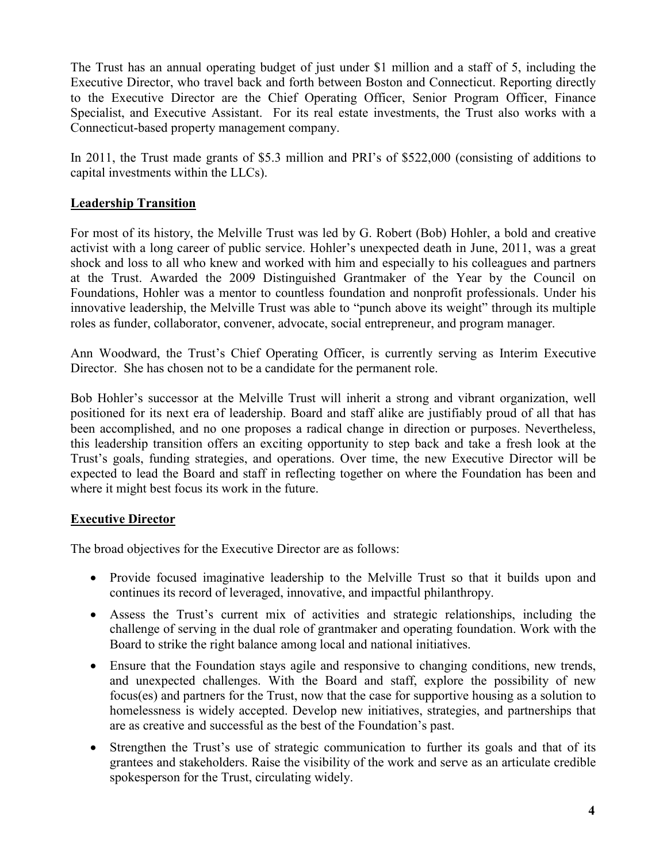The Trust has an annual operating budget of just under \$1 million and a staff of 5, including the Executive Director, who travel back and forth between Boston and Connecticut. Reporting directly to the Executive Director are the Chief Operating Officer, Senior Program Officer, Finance Specialist, and Executive Assistant. For its real estate investments, the Trust also works with a Connecticut-based property management company.

In 2011, the Trust made grants of \$5.3 million and PRI's of \$522,000 (consisting of additions to capital investments within the LLCs).

# **Leadership Transition**

For most of its history, the Melville Trust was led by G. Robert (Bob) Hohler, a bold and creative activist with a long career of public service. Hohler's unexpected death in June, 2011, was a great shock and loss to all who knew and worked with him and especially to his colleagues and partners at the Trust. Awarded the 2009 Distinguished Grantmaker of the Year by the Council on Foundations, Hohler was a mentor to countless foundation and nonprofit professionals. Under his innovative leadership, the Melville Trust was able to "punch above its weight" through its multiple roles as funder, collaborator, convener, advocate, social entrepreneur, and program manager.

Ann Woodward, the Trust's Chief Operating Officer, is currently serving as Interim Executive Director. She has chosen not to be a candidate for the permanent role.

Bob Hohler's successor at the Melville Trust will inherit a strong and vibrant organization, well positioned for its next era of leadership. Board and staff alike are justifiably proud of all that has been accomplished, and no one proposes a radical change in direction or purposes. Nevertheless, this leadership transition offers an exciting opportunity to step back and take a fresh look at the Trust's goals, funding strategies, and operations. Over time, the new Executive Director will be expected to lead the Board and staff in reflecting together on where the Foundation has been and where it might best focus its work in the future.

# **Executive Director**

The broad objectives for the Executive Director are as follows:

- Provide focused imaginative leadership to the Melville Trust so that it builds upon and continues its record of leveraged, innovative, and impactful philanthropy.
- Assess the Trust's current mix of activities and strategic relationships, including the challenge of serving in the dual role of grantmaker and operating foundation. Work with the Board to strike the right balance among local and national initiatives.
- Ensure that the Foundation stays agile and responsive to changing conditions, new trends, and unexpected challenges. With the Board and staff, explore the possibility of new focus(es) and partners for the Trust, now that the case for supportive housing as a solution to homelessness is widely accepted. Develop new initiatives, strategies, and partnerships that are as creative and successful as the best of the Foundation's past.
- Strengthen the Trust's use of strategic communication to further its goals and that of its grantees and stakeholders. Raise the visibility of the work and serve as an articulate credible spokesperson for the Trust, circulating widely.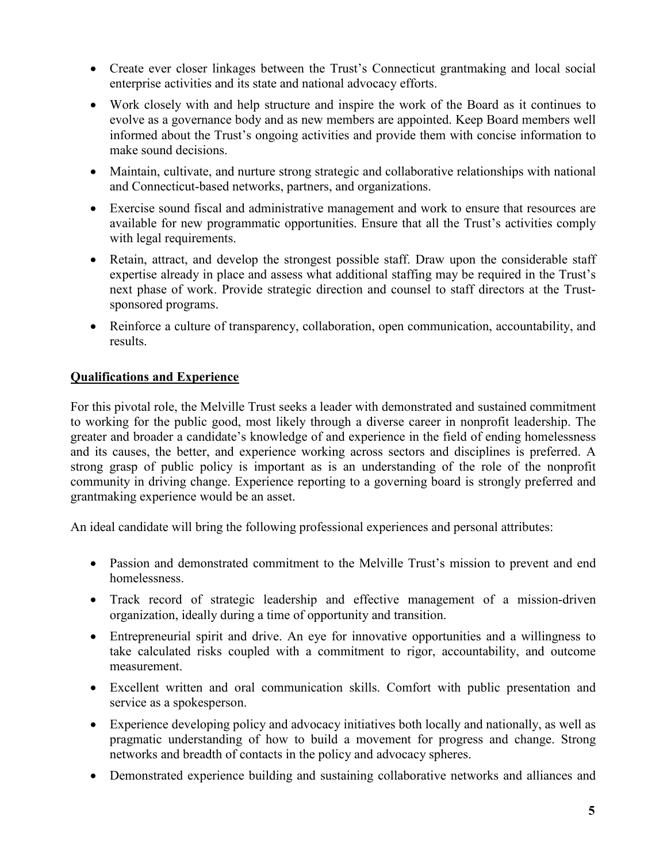- Create ever closer linkages between the Trust's Connecticut grantmaking and local social enterprise activities and its state and national advocacy efforts.
- Work closely with and help structure and inspire the work of the Board as it continues to evolve as a governance body and as new members are appointed. Keep Board members well informed about the Trust's ongoing activities and provide them with concise information to make sound decisions.
- Maintain, cultivate, and nurture strong strategic and collaborative relationships with national and Connecticut-based networks, partners, and organizations.
- Exercise sound fiscal and administrative management and work to ensure that resources are available for new programmatic opportunities. Ensure that all the Trust's activities comply with legal requirements.
- Retain, attract, and develop the strongest possible staff. Draw upon the considerable staff expertise already in place and assess what additional staffing may be required in the Trust's next phase of work. Provide strategic direction and counsel to staff directors at the Trustsponsored programs.
- Reinforce a culture of transparency, collaboration, open communication, accountability, and results.

# **Qualifications and Experience**

For this pivotal role, the Melville Trust seeks a leader with demonstrated and sustained commitment to working for the public good, most likely through a diverse career in nonprofit leadership. The greater and broader a candidate's knowledge of and experience in the field of ending homelessness and its causes, the better, and experience working across sectors and disciplines is preferred. A strong grasp of public policy is important as is an understanding of the role of the nonprofit community in driving change. Experience reporting to a governing board is strongly preferred and grantmaking experience would be an asset.

An ideal candidate will bring the following professional experiences and personal attributes:

- Passion and demonstrated commitment to the Melville Trust's mission to prevent and end homelessness.
- Track record of strategic leadership and effective management of a mission-driven organization, ideally during a time of opportunity and transition.
- Entrepreneurial spirit and drive. An eye for innovative opportunities and a willingness to take calculated risks coupled with a commitment to rigor, accountability, and outcome measurement.
- Excellent written and oral communication skills. Comfort with public presentation and service as a spokesperson.
- Experience developing policy and advocacy initiatives both locally and nationally, as well as pragmatic understanding of how to build a movement for progress and change. Strong networks and breadth of contacts in the policy and advocacy spheres.
- Demonstrated experience building and sustaining collaborative networks and alliances and